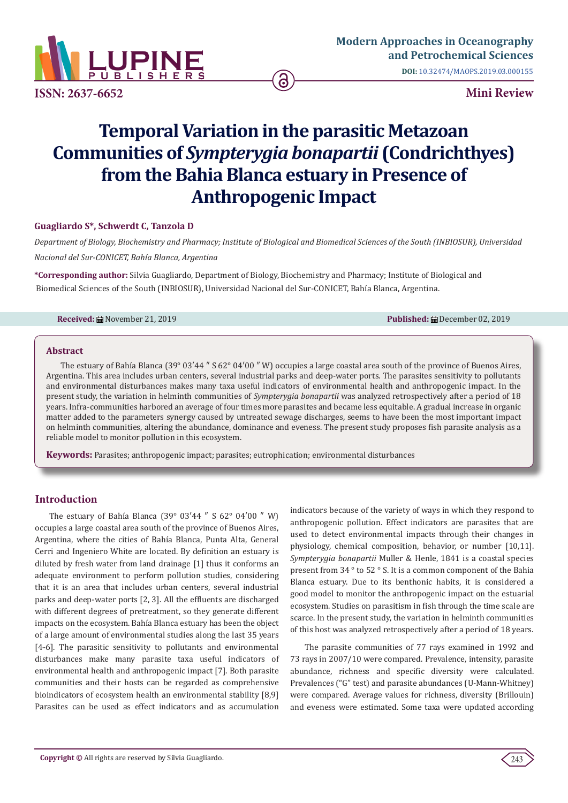

**ISSN: 2637-6652 Mini Review**

**DOI:** [10.32474/MAOPS.2019.03.00015](http://dx.doi.org/10.32474/MAOPS.2019.03.000155)5

# **Temporal Variation in the parasitic Metazoan Communities of** *Sympterygia bonapartii* **(Condrichthyes) from the Bahia Blanca estuary in Presence of Anthropogenic Impact**

# **Guagliardo S\*, Schwerdt C, Tanzola D**

*Department of Biology, Biochemistry and Pharmacy; Institute of Biological and Biomedical Sciences of the South (INBIOSUR), Universidad Nacional del Sur-CONICET, Bahía Blanca, Argentina*

**\*Corresponding author:** Silvia Guagliardo, Department of Biology, Biochemistry and Pharmacy; Institute of Biological and Biomedical Sciences of the South (INBIOSUR), Universidad Nacional del Sur-CONICET, Bahía Blanca, Argentina.

**Received:** November 21, 2019 **Published:** December 02, 2019

#### **Abstract**

The estuary of Bahía Blanca (39° 03′44 ″ S 62° 04′00 ″ W) occupies a large coastal area south of the province of Buenos Aires, Argentina. This area includes urban centers, several industrial parks and deep-water ports. The parasites sensitivity to pollutants and environmental disturbances makes many taxa useful indicators of environmental health and anthropogenic impact. In the present study, the variation in helminth communities of *Sympterygia bonapartii* was analyzed retrospectively after a period of 18 years. Infra-communities harbored an average of four times more parasites and became less equitable. A gradual increase in organic matter added to the parameters synergy caused by untreated sewage discharges, seems to have been the most important impact on helminth communities, altering the abundance, dominance and eveness. The present study proposes fish parasite analysis as a reliable model to monitor pollution in this ecosystem.

**Keywords:** Parasites; anthropogenic impact; parasites; eutrophication; environmental disturbances

# **Introduction**

The estuary of Bahía Blanca (39° 03′44 ″ S 62° 04′00 ″ W) occupies a large coastal area south of the province of Buenos Aires, Argentina, where the cities of Bahía Blanca, Punta Alta, General Cerri and Ingeniero White are located. By definition an estuary is diluted by fresh water from land drainage [1] thus it conforms an adequate environment to perform pollution studies, considering that it is an area that includes urban centers, several industrial parks and deep-water ports [2, 3]. All the effluents are discharged with different degrees of pretreatment, so they generate different impacts on the ecosystem. Bahía Blanca estuary has been the object of a large amount of environmental studies along the last 35 years [4-6]. The parasitic sensitivity to pollutants and environmental disturbances make many parasite taxa useful indicators of environmental health and anthropogenic impact [7]. Both parasite communities and their hosts can be regarded as comprehensive bioindicators of ecosystem health an environmental stability [8,9] Parasites can be used as effect indicators and as accumulation indicators because of the variety of ways in which they respond to anthropogenic pollution. Effect indicators are parasites that are used to detect environmental impacts through their changes in physiology, chemical composition, behavior, or number [10,11]. *Sympterygia bonapartii* Muller & Henle, 1841 is a coastal species present from 34 ° to 52 ° S. It is a common component of the Bahia Blanca estuary. Due to its benthonic habits, it is considered a good model to monitor the anthropogenic impact on the estuarial ecosystem. Studies on parasitism in fish through the time scale are scarce. In the present study, the variation in helminth communities of this host was analyzed retrospectively after a period of 18 years.

The parasite communities of 77 rays examined in 1992 and 73 rays in 2007/10 were compared. Prevalence, intensity, parasite abundance, richness and specific diversity were calculated. Prevalences ("G" test) and parasite abundances (U-Mann-Whitney) were compared. Average values for richness, diversity (Brillouin) and eveness were estimated. Some taxa were updated according

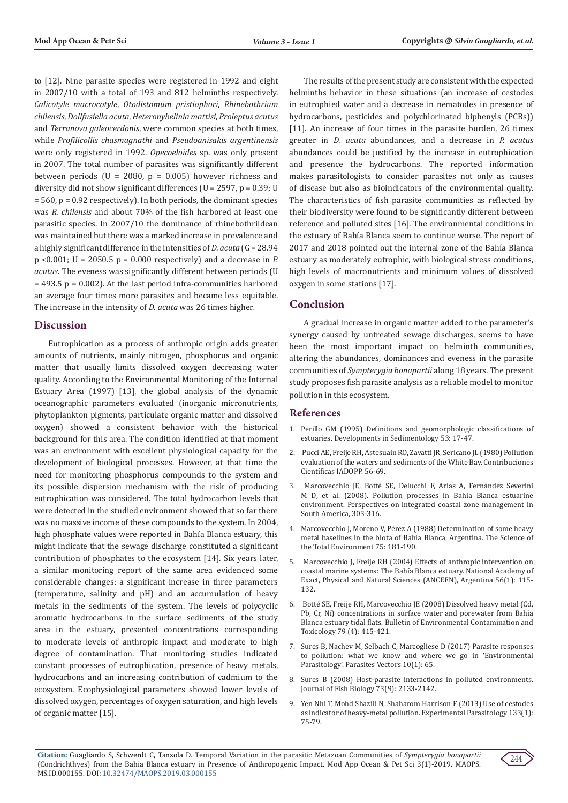to [12]. Nine parasite species were registered in 1992 and eight in 2007/10 with a total of 193 and 812 helminths respectively. *Calicotyle macrocotyle*, *Otodistomum pristiophori*, *Rhinebothrium chilensis*, *Dollfusiella acuta*, *Heteronybelinia mattisi*, *Proleptus acutus* and *Terranova galeocerdonis*, were common species at both times, while *Profilicollis chasmagnathi* and *Pseudoanisakis argentinensis*  were only registered in 1992. *Opecoeloides* sp. was only present in 2007. The total number of parasites was significantly different between periods ( $U = 2080$ ,  $p = 0.005$ ) however richness and diversity did not show significant differences ( $U = 2597$ ,  $p = 0.39$ ; U = 560, p = 0.92 respectively). In both periods, the dominant species was *R. chilensis* and about 70% of the fish harbored at least one parasitic species. In 2007/10 the dominance of rhinebothriidean was maintained but there was a marked increase in prevalence and a highly significant difference in the intensities of *D. acuta* (G = 28.94 p <0.001; U = 2050.5 p = 0.000 respectively) and a decrease in *P. acutus*. The eveness was significantly different between periods (U  $= 493.5$  p = 0.002). At the last period infra-communities harbored an average four times more parasites and became less equitable. The increase in the intensity of *D. acuta* was 26 times higher.

## **Discussion**

Eutrophication as a process of anthropic origin adds greater amounts of nutrients, mainly nitrogen, phosphorus and organic matter that usually limits dissolved oxygen decreasing water quality. According to the Environmental Monitoring of the Internal Estuary Area (1997) [13], the global analysis of the dynamic oceanographic parameters evaluated (inorganic micronutrients, phytoplankton pigments, particulate organic matter and dissolved oxygen) showed a consistent behavior with the historical background for this area. The condition identified at that moment was an environment with excellent physiological capacity for the development of biological processes. However, at that time the need for monitoring phosphorus compounds to the system and its possible dispersion mechanism with the risk of producing eutrophication was considered. The total hydrocarbon levels that were detected in the studied environment showed that so far there was no massive income of these compounds to the system. In 2004, high phosphate values were reported in Bahía Blanca estuary, this might indicate that the sewage discharge constituted a significant contribution of phosphates to the ecosystem [14]. Six years later, a similar monitoring report of the same area evidenced some considerable changes: a significant increase in three parameters (temperature, salinity and pH) and an accumulation of heavy metals in the sediments of the system. The levels of polycyclic aromatic hydrocarbons in the surface sediments of the study area in the estuary, presented concentrations corresponding to moderate levels of anthropic impact and moderate to high degree of contamination. That monitoring studies indicated constant processes of eutrophication, presence of heavy metals, hydrocarbons and an increasing contribution of cadmium to the ecosystem. Ecophysiological parameters showed lower levels of dissolved oxygen, percentages of oxygen saturation, and high levels of organic matter [15].

The results of the present study are consistent with the expected helminths behavior in these situations (an increase of cestodes in eutrophied water and a decrease in nematodes in presence of hydrocarbons, pesticides and polychlorinated biphenyls (PCBs)) [11]. An increase of four times in the parasite burden, 26 times greater in *D. acuta* abundances, and a decrease in *P. acutus* abundances could be justified by the increase in eutrophication and presence the hydrocarbons. The reported information makes parasitologists to consider parasites not only as causes of disease but also as bioindicators of the environmental quality. The characteristics of fish parasite communities as reflected by their biodiversity were found to be significantly different between reference and polluted sites [16]. The environmental conditions in the estuary of Bahía Blanca seem to continue worse. The report of 2017 and 2018 pointed out the internal zone of the Bahía Blanca estuary as moderately eutrophic, with biological stress conditions, high levels of macronutrients and minimum values of dissolved oxygen in some stations [17].

### **Conclusion**

A gradual increase in organic matter added to the parameter's synergy caused by untreated sewage discharges, seems to have been the most important impact on helminth communities, altering the abundances, dominances and eveness in the parasite communities of *Sympterygia bonapartii* along 18 years. The present study proposes fish parasite analysis as a reliable model to monitor pollution in this ecosystem.

## **References**

- 1. [Perillo GM \(1995\) Definitions and geomorphologic classifications of](https://www.sciencedirect.com/science/article/pii/S0070457105800226) [estuaries. Developments in Sedimentology 53: 17-47.](https://www.sciencedirect.com/science/article/pii/S0070457105800226)
- 2. Pucci AE, Freije RH, Astesuain RO, Zavatti JR, Sericano JL (1980) Pollution evaluation of the waters and sediments of the White Bay. Contribuciones Científicas IADOPP. 56-69.
- 3. [Marcovecchio JE, Botté SE, Delucchi F, Arias A, Fernández Severini](https://www.researchgate.net/publication/264544345_Pollution_processes_in_Bahia_Blanca_estuarine_environment) [M D, et al. \(2008\). Pollution processes in Bahía Blanca estuarine](https://www.researchgate.net/publication/264544345_Pollution_processes_in_Bahia_Blanca_estuarine_environment) environment. [Perspectives on integrated coastal zone management in](https://www.researchgate.net/publication/264544345_Pollution_processes_in_Bahia_Blanca_estuarine_environment) [South America, 303-316.](https://www.researchgate.net/publication/264544345_Pollution_processes_in_Bahia_Blanca_estuarine_environment)
- 4. Marcovecchio J, Moreno V, Pérez A (1988) Determination of some heavy metal baselines in the biota of Bahía Blanca, Argentina. The Science of the Total Environment 75: 181-190.
- 5. [Marcovecchio J, Freije RH \(2004\) Effects of anthropic intervention on](https://ri.conicet.gov.ar/handle/11336/16737) [coastal marine systems: The Bahía Blanca estuary. National Academy of](https://ri.conicet.gov.ar/handle/11336/16737) [Exact, Physical and Natural Sciences \(ANCEFN\), Argentina 56\(1\): 115-](https://ri.conicet.gov.ar/handle/11336/16737) [132.](https://ri.conicet.gov.ar/handle/11336/16737)
- 6. [Botté SE, Freije RH, Marcovecchio JE \(2008\) Dissolved heavy metal \(Cd,](https://www.ncbi.nlm.nih.gov/pubmed/17639330) [Pb, Cr, Ni\) concentrations in surface water and porewater from Bahia](https://www.ncbi.nlm.nih.gov/pubmed/17639330) [Blanca estuary tidal flats. Bulletin of Environmental Contamination and](https://www.ncbi.nlm.nih.gov/pubmed/17639330) [Toxicology 79 \(4\): 415-421.](https://www.ncbi.nlm.nih.gov/pubmed/17639330)
- 7. [Sures B, Nachev M, Selbach C, Marcogliese D \(2017\) Parasite responses](https://www.ncbi.nlm.nih.gov/pubmed/28166838) [to pollution: what we know and where we go in 'Environmental](https://www.ncbi.nlm.nih.gov/pubmed/28166838) [Parasitology'. Parasites Vectors 10\(1\): 65.](https://www.ncbi.nlm.nih.gov/pubmed/28166838)
- 8. [Sures B \(2008\) Host-parasite interactions in polluted environments.](https://www.researchgate.net/publication/227749984_Host-parasite_interactions_in_polluted_environments) [Journal of Fish Biology 73\(9\): 2133-2142.](https://www.researchgate.net/publication/227749984_Host-parasite_interactions_in_polluted_environments)
- 9. [Yen Nhi T, Mohd Shazili N, Shaharom Harrison F \(2013\) Use of cestodes](https://www.sciencedirect.com/science/article/abs/pii/S0014489412003256) [as indicator of heavy-metal pollution. Experimental Parasitology 133\(1\):](https://www.sciencedirect.com/science/article/abs/pii/S0014489412003256) [75-79.](https://www.sciencedirect.com/science/article/abs/pii/S0014489412003256)

**Citation:** Guagliardo S, Schwerdt C, Tanzola D. Temporal Variation in the parasitic Metazoan Communities of *Sympterygia bonapartii*  (Condrichthyes) from the Bahia Blanca estuary in Presence of Anthropogenic Impact. Mod App Ocean & Pet Sci 3(1)-2019. MAOPS. MS.ID.000155. DOI: [10.32474/MAOPS.2019.03.00015](http://dx.doi.org/10.32474/MAOPS.2019.03.000155)5